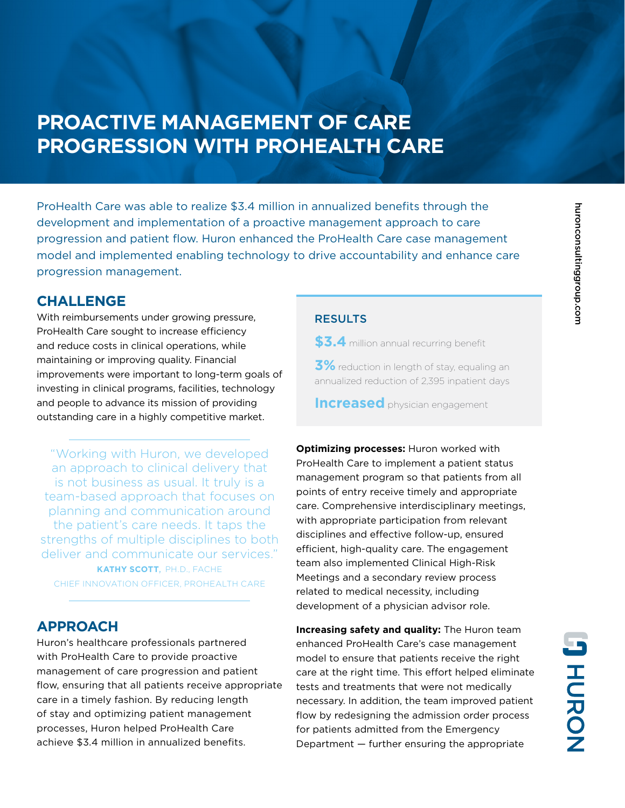# **PROACTIVE MANAGEMENT OF CARE PROGRESSION WITH PROHEALTH CARE**

ProHealth Care was able to realize \$3.4 million in annualized benefits through the development and implementation of a proactive management approach to care progression and patient flow. Huron enhanced the ProHealth Care case management model and implemented enabling technology to drive accountability and enhance care progression management.

### **CHALLENGE**

With reimbursements under growing pressure, ProHealth Care sought to increase efficiency and reduce costs in clinical operations, while maintaining or improving quality. Financial improvements were important to long-term goals of investing in clinical programs, facilities, technology and people to advance its mission of providing outstanding care in a highly competitive market.

"Working with Huron, we developed an approach to clinical delivery that is not business as usual. It truly is a team-based approach that focuses on planning and communication around the patient's care needs. It taps the strengths of multiple disciplines to both deliver and communicate our services." **KATHY SCOTT**, PH.D., FACHE CHIEF INNOVATION OFFICER, PROHEALTH CARE

### **APPROACH**

Huron's healthcare professionals partnered with ProHealth Care to provide proactive management of care progression and patient flow, ensuring that all patients receive appropriate care in a timely fashion. By reducing length of stay and optimizing patient management processes, Huron helped ProHealth Care achieve \$3.4 million in annualized benefits.

#### **RESULTS**

**\$3.4** million annual recurring benefit

**3%** reduction in length of stay, equaling an annualized reduction of 2,395 inpatient days

**Increased** physician engagement

**Optimizing processes:** Huron worked with ProHealth Care to implement a patient status management program so that patients from all points of entry receive timely and appropriate care. Comprehensive interdisciplinary meetings, with appropriate participation from relevant disciplines and effective follow-up, ensured efficient, high-quality care. The engagement team also implemented Clinical High-Risk Meetings and a secondary review process related to medical necessity, including development of a physician advisor role.

**Increasing safety and quality:** The Huron team enhanced ProHealth Care's case management model to ensure that patients receive the right care at the right time. This effort helped eliminate tests and treatments that were not medically necessary. In addition, the team improved patient flow by redesigning the admission order process for patients admitted from the Emergency Department — further ensuring the appropriate